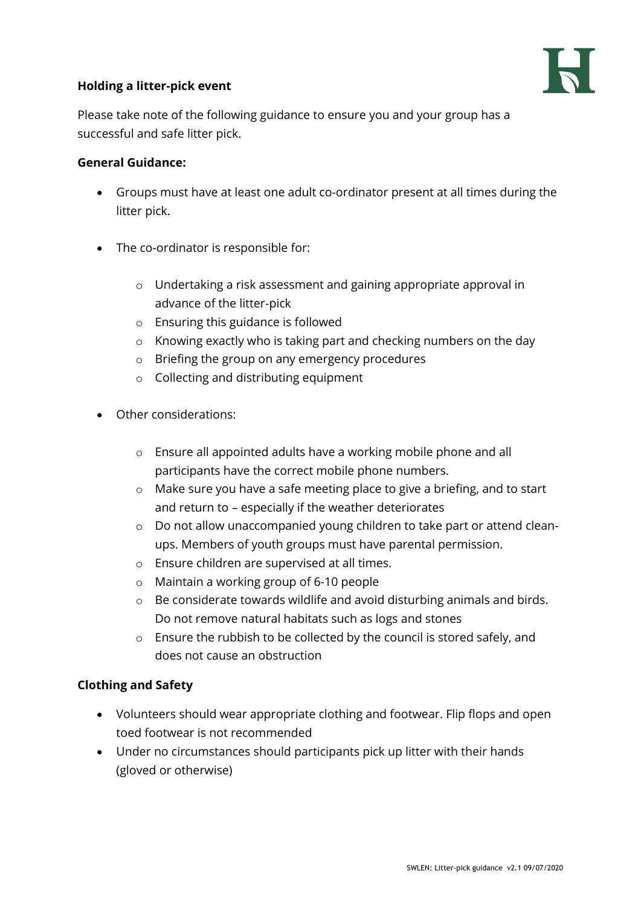## **Holding a litter-pick event**



Please take note of the following guidance to ensure you and your group has a successful and safe litter pick.

#### **General Guidance:**

- Groups must have at least one adult co-ordinator present at all times during the litter pick.
- The co-ordinator is responsible for:
	- o Undertaking a risk assessment and gaining appropriate approval in advance of the litter-pick
	- o Ensuring this guidance is followed
	- o Knowing exactly who is taking part and checking numbers on the day
	- o Briefing the group on any emergency procedures
	- o Collecting and distributing equipment
- Other considerations:
	- o Ensure all appointed adults have a working mobile phone and all participants have the correct mobile phone numbers.
	- o Make sure you have a safe meeting place to give a briefing, and to start and return to – especially if the weather deteriorates
	- o Do not allow unaccompanied young children to take part or attend cleanups. Members of youth groups must have parental permission.
	- o Ensure children are supervised at all times.
	- o Maintain a working group of 6-10 people
	- o Be considerate towards wildlife and avoid disturbing animals and birds. Do not remove natural habitats such as logs and stones
	- o Ensure the rubbish to be collected by the council is stored safely, and does not cause an obstruction

## **Clothing and Safety**

- Volunteers should wear appropriate clothing and footwear. Flip flops and open toed footwear is not recommended
- Under no circumstances should participants pick up litter with their hands (gloved or otherwise)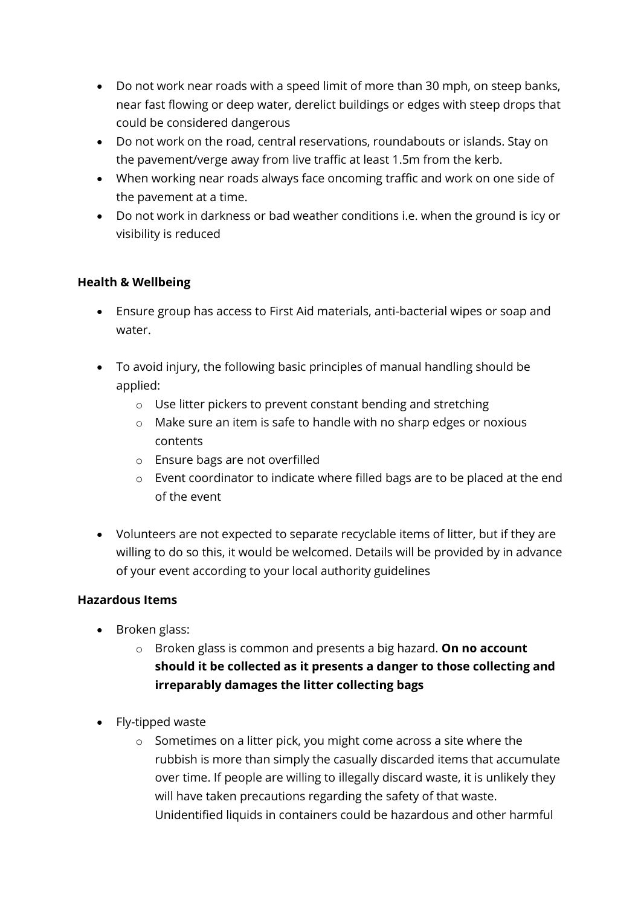- Do not work near roads with a speed limit of more than 30 mph, on steep banks, near fast flowing or deep water, derelict buildings or edges with steep drops that could be considered dangerous
- Do not work on the road, central reservations, roundabouts or islands. Stay on the pavement/verge away from live traffic at least 1.5m from the kerb.
- When working near roads always face oncoming traffic and work on one side of the pavement at a time.
- Do not work in darkness or bad weather conditions i.e. when the ground is icy or visibility is reduced

# **Health & Wellbeing**

- Ensure group has access to First Aid materials, anti-bacterial wipes or soap and water.
- To avoid injury, the following basic principles of manual handling should be applied:
	- o Use litter pickers to prevent constant bending and stretching
	- o Make sure an item is safe to handle with no sharp edges or noxious contents
	- o Ensure bags are not overfilled
	- o Event coordinator to indicate where filled bags are to be placed at the end of the event
- Volunteers are not expected to separate recyclable items of litter, but if they are willing to do so this, it would be welcomed. Details will be provided by in advance of your event according to your local authority guidelines

## **Hazardous Items**

- Broken glass:
	- o Broken glass is common and presents a big hazard. **On no account should it be collected as it presents a danger to those collecting and irreparably damages the litter collecting bags**
- Fly-tipped waste
	- o Sometimes on a litter pick, you might come across a site where the rubbish is more than simply the casually discarded items that accumulate over time. If people are willing to illegally discard waste, it is unlikely they will have taken precautions regarding the safety of that waste. Unidentified liquids in containers could be hazardous and other harmful